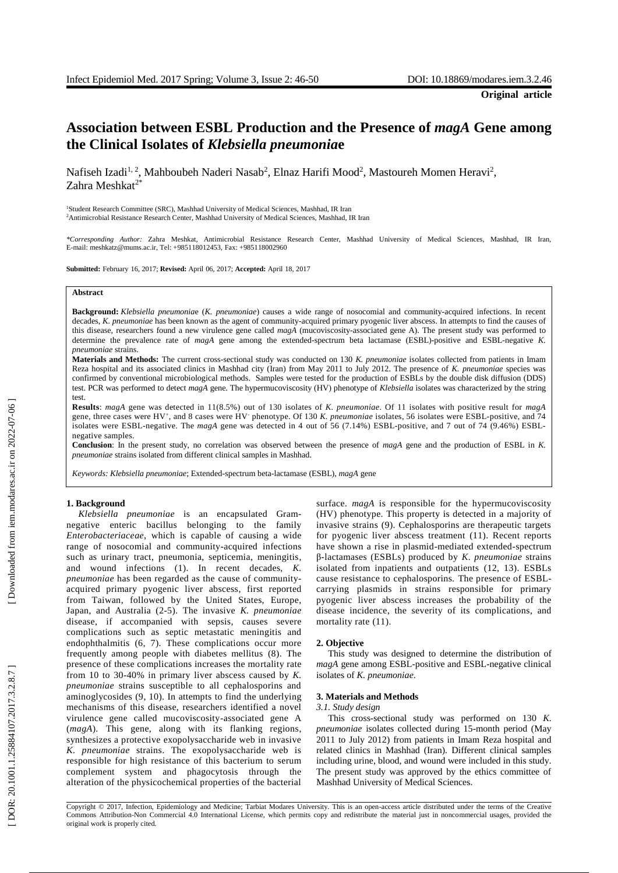# **Association between ESBL Production and the Presence of** *magA* **Gene among the Clinical Isolates of** *Klebsiella pneumonia* **e**

Nafiseh Izadi<sup>1, 2</sup>, Mahboubeh Naderi Nasab<sup>2</sup>, Elnaz Harifi Mood<sup>2</sup>, Mastoureh Momen Heravi<sup>2</sup>, Zahra Meshkat<sup>2\*</sup>

<sup>1</sup>Student Research Committee (SRC), Mashhad University of Medical Sciences, Mashhad, IR Iran <sup>2</sup> Antimicrobial Resistance Research Center, Mashhad University of Medical Sciences, Mashhad, IR Iran

*\*Corresponding Author:* Zahra Meshkat, Antimicrobial Resistance Research Center, Mashhad University of Medical Sciences, Mashhad, IR Iran, E-mail: meshkatz@mums.ac.ir, Tel: +985118012453, Fax: +985118002960

**Submitted:** February 16, 2017; **Revised:** April 06, 2017; **Accepted:** April 18, 2017

#### **Abstract**

Background: Klebsiella pneumoniae (K. pneumoniae) causes a wide range of nosocomial and community-acquired infections. In recent decades, *K. pneumoniae* has been known as the agent of community-acquired primary pyogenic liver abscess. In attempts to find the causes of this disease, researchers found a new virulence gene called *magA* (mucoviscosity -associated gene A) . Th e present study was performed to determine the prevalence rate of *magA* gene among the extended-spectrum beta lactamase (ESBL)-positive and ESBL-negative K. *pneumoniae* strains.

**Materials and Methods:** The current cross-sectional study was conducted on 130 K. pneumoniae isolates collected from patients in Imam Reza hospital and its associated clinics in Mashhad city (Iran) from May 2011 to July 2012. The presence of *K. pneumoniae* species was confirmed by conventional microbiological methods. Samples were tested for the production of ESBLs by the double disk diffusion (DDS) test. PCR was performed to detect *magA* gene. The hypermucoviscosity (HV) phenotype of *Klebsiella* isolates was characterized by the string test.

**Results** : *magA* gene was detected in 11(8.5%) out of 130 isolates of *K. pneumoniae*. Of 11 isolates with positive result for *magA* gene, three cases were HV<sup>+</sup>, and 8 cases were HV<sup>-</sup> phenotype. Of 130 K. *pneumoniae* isolates, 56 isolates were ESBL-positive, and 74 isolates were ESBL-negative. The *magA* gene was detected in 4 out of 56 (7.14%) ESBL-positive, and 7 out of 74 (9.46%) ESBLnegative samples.

**Conclusion**: In the present study, no correlation was observed between the presence of *magA* gene and the production of ESBL in *K. pneumoniae* strains isolated from different clinical samples in Mashhad.

*Keywords: Klebsiella pneumoniae*; Extended - spectrum beta - lactamase (ESBL), *magA* gene

# **1. Background**

Klebsiella pneumoniae is an encapsulated Gramnegative enteric bacillus belonging to the family *Enterobacteriaceae*, which is capable of causing a wide range of nosocomial and community -acquired infections such as urinary tract, pneumonia, septicemia, meningitis , and wound infections ( 1 ). In recent decades, *K. pneumoniae* has been regarded as the cause of community acquired primary pyogenic liver abscess , first reported from Taiwan , foll owed by the United States, Europe, Japan , and Australia ( 2 - 5 ) . The invasive *K. pneumoniae* disease , if accompanied with sepsis , causes severe complications such as septic metastatic meningitis and endophthalmitis (6, 7). These complications occur more frequently among people with diabetes mellitus ( 8 ). The presence of these complications increases the mortality rate from 10 to 30 -40% in primary liver abscess caused by *K. pneumoniae* strains susceptible to all cephalosporins and aminoglycosides ( 9, 10 ). In attempts to find the underlying mechanisms of this disease , researchers identified a novel virulence gene called mucoviscosity -associated gene A (*magA*). This gene, along with its flanking regions, synthesize s a protective exopolysaccharide web in invasive *K. pneumoniae* strains. The exopolysaccharide web is responsible for high resistance of this bacterium to serum complement system and phagocytosis through the alteration of the physicochemical properties of the bacterial

surface. *magA* is responsible for the hypermucoviscosity (HV) phenotype. This property is detected in a majority of invasive strains ( 9 ) . Cephalosporins are therapeutic targets for pyogenic liver abscess treatment (11 ). Recent reports have shown a rise in plasmid -mediated extended -spectrum β -lactamases (ESBLs) produced by *K. pneumoniae* strains isolated from inpatients and outpatients (12, 13 ) . ESBLs cause resistance to cephalosporins. The presence of ESBL carrying plasmid s in strains responsible for primary pyogenic liver abscess increases the probability of the disease incidence, the severity of its complications , and mortality rate  $(11)$ .

# **2. Objective**

This study was designed to determine the distribution of magA gene among ESBL-positive and ESBL-negative clinical isolates of *K. pneumoniae* .

# **3. Materials and Methods**

# *3.1. Study design*

This cross -sectional study was performed on 130 *K. pneumoniae* isolates collected during 15 -month period (May 2011 to July 2012) from patients in Imam Reza hospital and related clinics in Mashhad (Iran). Different clinical samples including urine, blood, and wound were included in this study. The present study was approved by the ethics committee of Mashhad University of Medical Sciences.

Copyright © 2017, Infection, Epidemiology and Medicine; Tarbiat Modares University. This is an open -access article distributed under the terms of the Creative Commons Attribution -Non Commercial 4.0 International License, which permits copy and redistribute the material just in nonco mmercial usages, provided the original work is properly cited.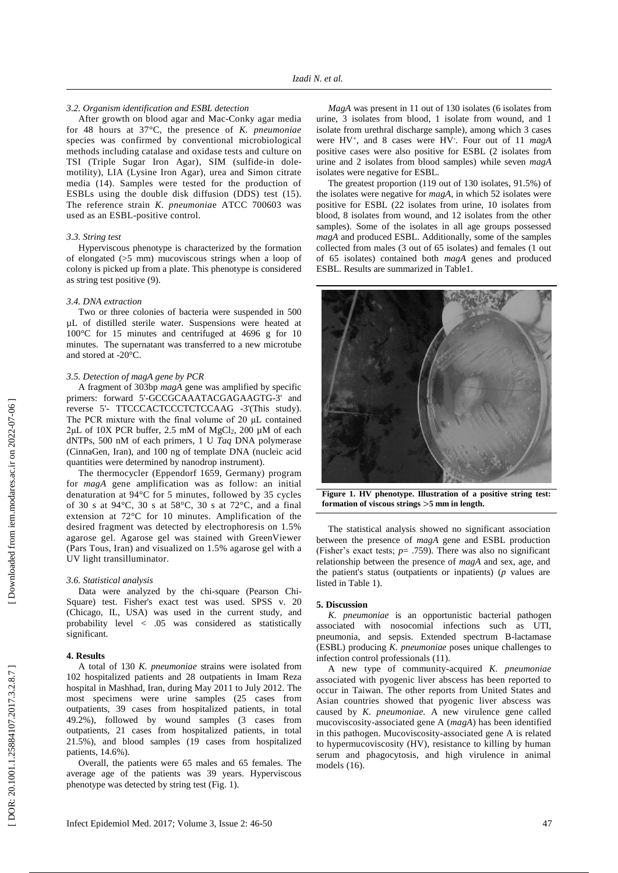# *3.2. Organism identification and ESBL detection*

After growth on blood agar and Mac - Conky agar media for 48 hours at 37° C, the presence of *K. pneumoniae*  species was confirmed by conventional microbiological methods including catalase and oxidase tests and culture on TSI (Triple Sugar Iron Agar), SIM (sulfide-in dolemotility), LIA (Lysine Iron Agar), urea and Simon citrate media (14 ). Samples were tested for the production of ESBLs using the double disk diffusion (DDS) test (15 ) . The reference strain *K. pneumonia* e ATCC 700603 was used as an ESBL -positive control.

## *3.3. String test*

Hyperviscous phenotype is characterized by the formation of elongated (>5 mm) mucoviscous strings when a loop of colony is picked up from a plate. This phenotype is considered as string test positive ( 9 ) .

## *3.4. DNA extraction*

Two or three colonies of bacteria were suspended in 500 µL of distilled sterile water. Suspensions were heated at 100°C for 15 minutes and centrifuged at 4696 g for 10 minutes. The supernatant was transferred to a new microtube and stored at -20°C.

# *3.5. Detection of magA gene by PCR*

A fragment of 303bp *magA* gene was amplified by specific primers: forward 5'-GCCGCAAATACGAGAAGTG-3' and reverse 5'- TTCCCACTCCCTCTCCAAG -3'(This study). The PCR mixture with the final volume of 20 μ L contained 2μ L of 10X PCR buffer, 2.5 mM of MgCl <sup>2</sup>, 200 µM of each dNTPs, 500 nM of each primers, 1 U *Taq* DNA polymerase (CinnaGen, Iran ) , and 100 ng of template DNA (nucleic acid quantities were determined by nanodrop instrument ) .

The thermocycler ( Eppendorf 1659, Germany) program for *magA* gene amplification was as follow: an initial denaturation at 94°C for 5 minutes , followed by 35 cycles of 30 s at 94°C, 30 s at 58°C, 30 s at 72°C , and a final extension at 72°C for 10 minutes. Amplification of the desired fragment was detected by electrophoresis on 1.5% agarose gel . Agarose gel was stained with GreenViewer (Pars Tous, Iran) and visualized on 1.5% agarose gel with a UV light transilluminator.

#### *3.6. Statistical analysis*

Data were analyzed by the chi-square (Pearson Chi-Square) test. Fisher's exact test was used. SPSS v. 20 (Chicago, IL, USA) was used in the current study , and probability level < .05 was considered as statistically significant.

## **4. Results**

A total of 130 *K. pneumoniae* strains were isolated from <sup>102</sup> hospitalized patients and 28 outpatients in Imam Reza hospital in Mashhad, Iran, during May 2011 to July 2012. The most specimens were urine samples (25 cases from outpatients, 39 cases from hospitalized patients, in total 49.2%) , followed by wound samples (3 cases from outpatients, 21 cases from hospitalized patients, in total 21.5%), and blood samples (19 cases from hospitalized patients, 14.6%).

Overall, the patients were 65 male s and 65 female s. The average age of the patients was 39 years. Hyperviscous phenotype was detected by string test (Fig . 1).

*MagA* was present in 11 out of 130 isolates (6 isolates from urine, 3 isolates from blood, 1 isolate from wound, and 1 isolate from urethral discharge sample ), among which 3 cases were HV<sup>+</sup>, and 8 cases were HV<sup>-</sup>. Four out of 11 magA positive cases were also positive for ESBL (2 isolates from urine and 2 isolates from blood samples) while seven *magA* isolates were negative for ESBL.

The greatest proportion (119 out of 130 isolates, 91.5%) of the isolates were negative for *magA*, in which 52 isolates were positive for ESBL (22 isolates from urine, 10 isolates from blood, 8 isolates from wound, and 12 isolates from the other samples). Some of the isolates in all age groups possessed *magA* and produced ESBL. Additionally, some of the samples collected from males (3 out of 65 isolates) and females (1 out of 65 isolates) contained both *magA* genes and produced ESBL. Results are summarized in Table1.



**Figure 1. HV phenotype. Illustration of a positive string test: formation of viscous strings**  >**5 mm in length.**

The statistical analysis showed no significant association between the presence of *magA* gene and ESBL production (Fisher's exact tests;  $p = .759$ ). There was also no significant relationship between the presence of *magA* and sex, age, and the patient's status (outpatients or inpatients) (*p* values are listed in Table 1).

# **5. Discussion**

*K. pneumoniae* is an opportunistic bacterial pathogen associated with nosocomial infections such as UTI, pneumonia, and sepsis. Extended spectrum B -lactamase (ESBL) producing *K. pneumoniae* poses unique challenges to infection control professionals (11 ) .

A new type of community -acquired *K. pneumoniae* associated with pyogenic liver abscess has been reported to occur in Taiwan. The other reports from United States and Asian countries showed that pyogenic liver abscess was caused by *K. pneumoniae.* A new virulence gene called mucoviscosity -associated gene A (*magA*) has been identified in this pathogen. Mucoviscosity -associated gene A is related to hypermucoviscosity (HV), resistance to killing by human serum and phagocytosis, and high virulence in animal models (16).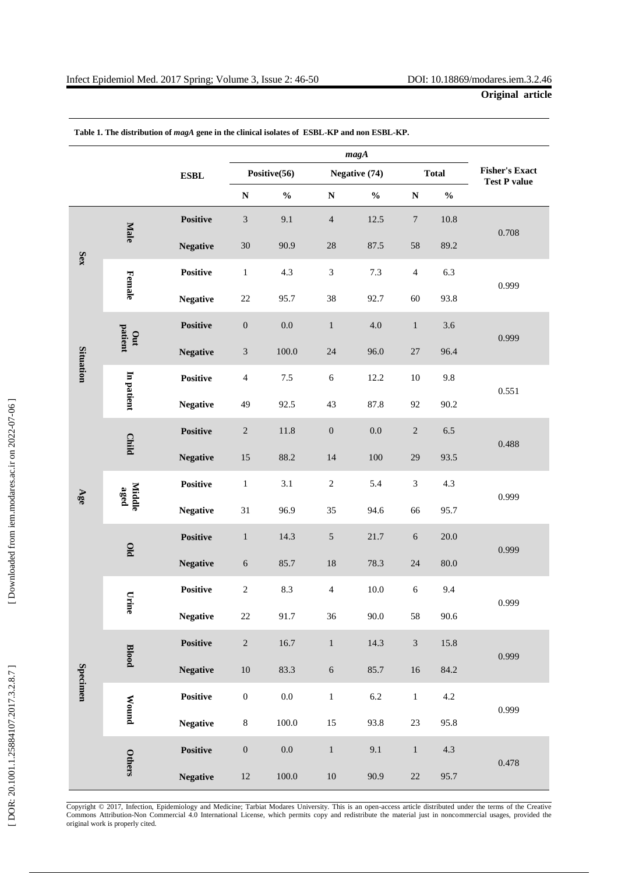|                  |                |                 | magA                        |                                    |                      |                                    |                             |                                    |                                              |
|------------------|----------------|-----------------|-----------------------------|------------------------------------|----------------------|------------------------------------|-----------------------------|------------------------------------|----------------------------------------------|
|                  |                | ${\bf ESBL}$    | Positive(56)                |                                    | <b>Negative (74)</b> |                                    | <b>Total</b>                |                                    | <b>Fisher's Exact</b><br><b>Test P value</b> |
|                  |                |                 | ${\bf N}$                   | $\mathbf{0}_{\mathbf{0}}^{\prime}$ | ${\bf N}$            | $\mathbf{0}_{\mathbf{0}}^{\prime}$ | ${\bf N}$                   | $\mathbf{0}_{\mathbf{0}}^{\prime}$ |                                              |
| Sex              | Male           | <b>Positive</b> | $\ensuremath{\mathfrak{Z}}$ | 9.1                                | $\sqrt{4}$           | 12.5                               | $\overline{7}$              | $10.8\,$                           | 0.708                                        |
|                  |                | <b>Negative</b> | 30                          | 90.9                               | 28                   | 87.5                               | 58                          | 89.2                               |                                              |
|                  | Female         | Positive        | $\,1$                       | 4.3                                | $\sqrt{3}$           | 7.3                                | $\overline{4}$              | 6.3                                | 0.999                                        |
|                  |                | <b>Negative</b> | $22\,$                      | 95.7                               | 38                   | 92.7                               | 60                          | 93.8                               |                                              |
| <b>Situation</b> | patient<br>Out | <b>Positive</b> | $\boldsymbol{0}$            | $0.0\,$                            | $\mathbf{1}$         | 4.0                                | $\mathbf{1}$                | 3.6                                | 0.999                                        |
|                  |                | <b>Negative</b> | $\ensuremath{\mathfrak{Z}}$ | 100.0                              | 24                   | 96.0                               | $27\,$                      | 96.4                               |                                              |
|                  | In patient     | <b>Positive</b> | $\overline{4}$              | $7.5\,$                            | $\sqrt{6}$           | 12.2                               | $10\,$                      | 9.8                                | 0.551                                        |
|                  |                | <b>Negative</b> | 49                          | 92.5                               | 43                   | 87.8                               | 92                          | 90.2                               |                                              |
| Age              | <b>Child</b>   | <b>Positive</b> | $\sqrt{2}$                  | 11.8                               | $\boldsymbol{0}$     | $0.0\,$                            | $\sqrt{2}$                  | $6.5\,$                            | 0.488                                        |
|                  |                | <b>Negative</b> | 15                          | 88.2                               | 14                   | 100                                | 29                          | 93.5                               |                                              |
|                  | Middle<br>aged | Positive        | $\mathbf{1}$                | 3.1                                | $\sqrt{2}$           | 5.4                                | $\ensuremath{\mathfrak{Z}}$ | 4.3                                | 0.999                                        |
|                  |                | <b>Negative</b> | 31                          | 96.9                               | 35                   | 94.6                               | 66                          | 95.7                               |                                              |
|                  | DIO            | <b>Positive</b> | $\mathbf 1$                 | 14.3                               | $\sqrt{5}$           | 21.7                               | $\sqrt{6}$                  | $20.0\,$                           | 0.999                                        |
|                  |                | <b>Negative</b> | $\sqrt{6}$                  | 85.7                               | 18                   | 78.3                               | 24                          | 80.0                               |                                              |
| Specimen         | Çг.<br>ine     | <b>Positive</b> | $\sqrt{2}$                  | 8.3                                | $\overline{4}$       | 10.0                               | $\sqrt{6}$                  | 9.4                                | 0.999                                        |
|                  |                | <b>Negative</b> | $22\,$                      | 91.7                               | 36                   | 90.0                               | 58                          | 90.6                               |                                              |
|                  | <b>Blood</b>   | Positive        | $\sqrt{2}$                  | 16.7                               | $\,1\,$              | 14.3                               | $\mathfrak{Z}$              | 15.8                               | 0.999                                        |
|                  |                | <b>Negative</b> | $10\,$                      | 83.3                               | $\sqrt{6}$           | 85.7                               | $16\,$                      | 84.2                               |                                              |
|                  | <b>Mound</b>   | Positive        | $\boldsymbol{0}$            | $0.0\,$                            | $\,1\,$              | $6.2\,$                            | $\,1\,$                     | 4.2                                | 0.999                                        |
|                  |                | <b>Negative</b> | $8\,$                       | $100.0\,$                          | 15                   | 93.8                               | $23\,$                      | 95.8                               |                                              |
|                  | <b>Others</b>  | Positive        | $\boldsymbol{0}$            | $0.0\,$                            | $\,1\,$              | 9.1                                | $\,1\,$                     | 4.3                                | 0.478                                        |
|                  |                | <b>Negative</b> | $12\,$                      | $100.0\,$                          | $10\,$               | 90.9                               | $22\,$                      | 95.7                               |                                              |

**Table 1. The distribution of** *magA* **gene in the clinical isolates of ESBL -KP and non ESBL -KP .**

Copyright © 2017, Infection, Epidemiology and Medicine; Tarbiat Modares University. This is an open -access article distributed under the terms of the Creative Commons Attribution -Non Commercial 4.0 International License, which permits copy and redistribute the material just in nonco mmercial usages, provided the original work is properly cited.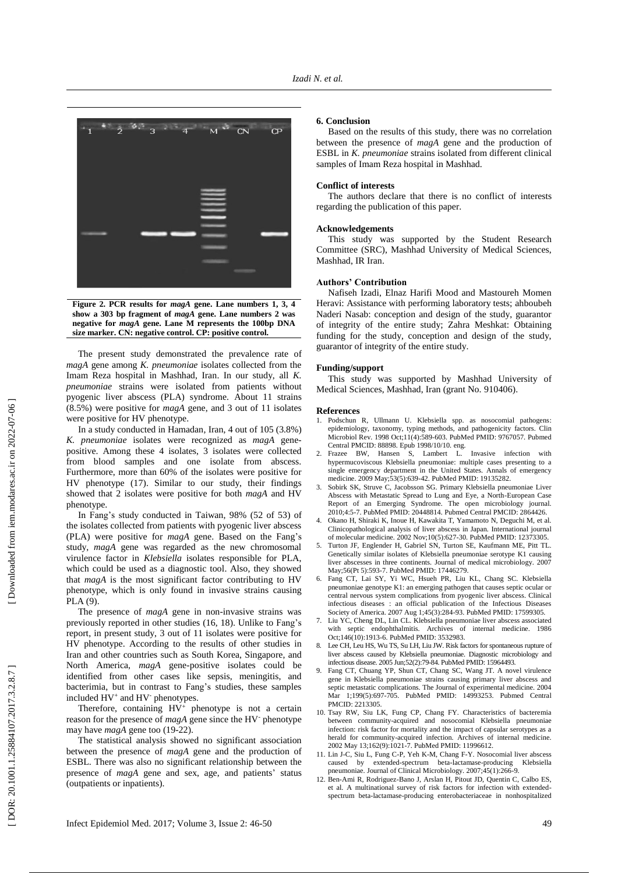

**Figure 2. PCR results for** *magA* **gene. Lane numbers 1, 3, 4 show a 303 bp fragment of** *magA* **gene. Lane numbers 2 was negative for** *magA* **gene. Lane M represents the 100bp DNA size marker. CN: negative control. CP: positive control.**

The present study demonstrated the prevalence rate of *magA* gene among *K. pneumoniae* isolates collected from the Imam Reza hospital in Mashhad, Iran . In our study, all *K. pneumoniae* strains were isolated from patients without pyogenic liver abscess (PLA) syndrome. About 11 strains (8.5%) were positive for *magA* gene , and 3 out of 11 isolates were positive for HV phenotype.

In a study conducted in Ham adan, Iran, 4 out of 105 (3.8%) *K. pneumoniae* isolates were recognized as *magA* gene positive. Among these 4 isolates, 3 isolates were collected from blood samples and one isolate from abscess. Furthermore , more than 60% of the isolates were positive for HV phenotype (17 ). Similar to our study, their finding s showed that 2 isolates were positive for both *magA* and HV phenotype.

In Fang's study conducted in Taiwan, 98% (52 of 53) of the isolates collected from patients with pyogenic liver abscess (PLA) were positive for *magA* gene . Based on the Fang's study, *magA* gene was regarded as the new chromosomal virulence factor in *Klebsiella* isolates responsible for PLA, which could be used as a diagnostic tool. Also, they showed that *magA* is the most significant factor contributing to HV phenotype , which is only found in invasive strains causing PLA (9).

The presence of *magA* gene in non -invasive strains was previously reported in other studies (16, 18 ). Unlike to Fang's report, in present study , 3 out of 11 isolates were positive for HV phenotype. According to the results of other studies in Iran and other countries such as South Korea, Singapore , and North America, *magA* gene -positive isolates could be identified from other cases like sepsis, meningitis, and bacterimia, but in contrast to Fang's studies, these samples included HV<sup>+</sup> and HV<sup>-</sup> phenotypes.

Therefore, containing HV<sup>+</sup> phenotype is not a certain reason for the presence of *magA* gene since the HV<sup>-</sup> phenotype may have *magA* gene too (19-22).

The statistical analysis showed no significant association between the presence of *magA* gene and the production of ESBL. There was also no significant relationship between the presence of *magA* gene and sex, age , and patients ' status (outpatients or inpatients).

#### **6. Conclusion**

Based o n the results of this study, there was no correlation between the presence of *magA* gene and the production of ESBL in *K. pneumoniae* strains isolated from different clinical samples of Imam Reza hospital in Mashhad.

## **Conflict of interests**

The authors declare that there is no conflict of interests regarding the publication of this paper.

#### **Acknowledgements**

This study was supported by the Student Research Committee (SRC), Mashhad University of Medical Sciences, Mashhad, IR Iran.

## **Authors' Contribution**

Nafiseh Izadi, Elnaz Harifi Mood and Mastoureh Momen Heravi: Assistance with performing laboratory tests; ahboubeh Naderi Nasab: conception and design of the study, guarantor of integrity of the entire study; Zahra Meshkat: Obtaining funding for the study, conception and design of the study, guarantor of integrity of the entire study.

# **Funding/support**

This study was supported by Mashhad University of Medical Sciences, Mashhad, Iran (grant No. 910406).

#### **References**

- 1. Podschun R, Ullmann U. Klebsiella spp. as nosocomial pathogens: epidemiology, taxonomy, typing methods, and pathogenicity factors. Clin Microbiol Rev. 1998 Oct;11(4):589 -603. PubMed PMID: 9767057. Pubmed Central PMCID: 88898. Epub 1998/10/10. eng.
- Frazee BW, Hansen S, Lambert L. Invasive infection with hypermucoviscous Klebsiella pneumoniae: multiple cases presenting to a single emergency department in the United States. Annals of emergency medicine. 2009 May;53(5):639 -42. PubMed PMID: 19135282.
- 3. Sobirk SK, Struve C, Jacobsson SG. Primary Klebsiella pneumoniae Liver Abscess with Metastatic Spread to Lung and Eye, a North -European Case Report of an Emerging Syndrome. The open microbiology journal. 2010;4:5 -7. PubMed PMID: 20448814. Pubmed Central PMCID: 2864426.
- 4. Okano H, Shiraki K, Inoue H, Kawakita T, Yamamoto N, Deguchi M, et al. Clinicopathological analysis of liver abscess in Japan. International journal of molecular medicine. 2002 Nov;10(5):627 -30. PubMed PMID: 12373305.
- 5. Turton JF, Englender H, Gabriel SN, Turton SE, Kaufmann ME, Pitt TL. Genetically similar isolates of Klebsiella pneumoniae serotype K1 causing liver abscesses in three continents. Journal of medical microbiology. 2007 May;56(Pt 5):593 -7. PubMed PMID: 17446279.
- 6. Fang CT, Lai SY, Yi WC, Hsueh PR, Liu KL, Chang SC. Klebsiella pneumoniae genotype K1: an emerging pathogen that causes septic ocular or central nervous system complications from pyogenic liver abscess. Clinical infectious diseases : an official publication of the Infectious Diseases Society of America. 2007 Aug 1;45(3):284 -93. PubMed PMID: 17599305.
- 7. Liu YC, Cheng DL, Lin CL. Klebsiella pneumoniae liver abscess associated with septic endophthalmitis. Archives of internal medicine. 1986 Oct;146(10):1913 -6. PubMed PMID: 3532983.
- Lee CH, Leu HS, Wu TS, Su LH, Liu JW. Risk factors for spontaneous rupture of liver abscess caused by Klebsiella pneumoniae. Diagnostic microbiology and infectious disease. 2005 Jun;52(2):79 -84. PubMed PMID: 15964493.
- 9. Fang CT, Chuang YP, Shun CT, Chang SC, Wang JT. A novel virulence gene in Klebsiella pneumoniae strains causing primary liver abscess and septic metastatic complications. The Journal of experimental medicine. 2004 Mar 1;199(5):697 -705. PubMed PMID: 14993253. Pubmed Central PMCID: 2213305.
- 10. Tsay RW, Siu LK, Fung CP, Chang FY. Characteristics of bacteremia between community -acquired and nosocomial Klebsiella pneumoniae infection: risk factor for mortality and the impact of capsular serotypes as a herald for community -acquired infection. Archives of internal medicine. 2002 May 13;162(9):1021 -7. PubMed PMID: 11996612.
- 11. Lin J -C, Siu L, Fung C -P, Yeh K -M, Chang F -Y. Nosocomial liver abscess caused by extended -spectrum beta -lactamase -producing Klebsiella pneumoniae. Journal of Clinical Microbiology. 2007;45(1):266 -9.
- 12. Ben -Ami R, Rodriguez -Bano J, Arslan H, Pitout JD, Quentin C, Calbo ES, et al. A multinational survey of risk factors for infection with extended spectrum beta -lactamase -producing enterobacteriaceae in nonhospitalized

DOR: 20.1001.1.25884107.2017.3.2.8.7